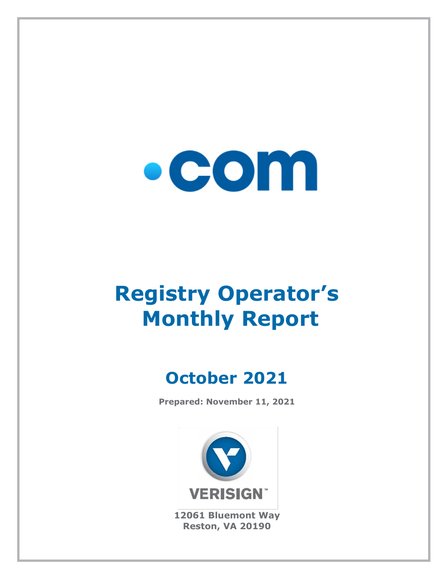

# **Registry Operator's Monthly Report**

## **October 2021**

**Prepared: November 11, 2021**



**12061 Bluemont Way Reston, VA 20190**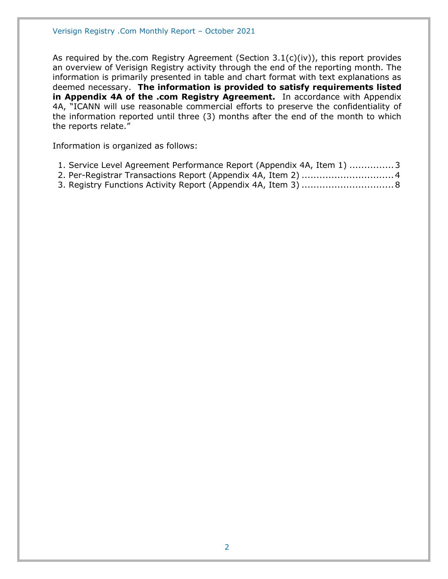As required by the.com Registry Agreement (Section 3.1(c)(iv)), this report provides an overview of Verisign Registry activity through the end of the reporting month. The information is primarily presented in table and chart format with text explanations as deemed necessary. **The information is provided to satisfy requirements listed in Appendix 4A of the .com Registry Agreement.** In accordance with Appendix 4A, "ICANN will use reasonable commercial efforts to preserve the confidentiality of the information reported until three (3) months after the end of the month to which the reports relate."

Information is organized as follows:

- [1. Service Level Agreement Performance Report \(Appendix 4A, Item 1\)](#page-2-0) ...............3
- [2. Per-Registrar Transactions Report \(Appendix 4A,](#page-3-0) Item 2) ...............................4
- [3. Registry Functions Activity Report \(Appendix 4A, Item 3\)](#page-7-0) ...............................8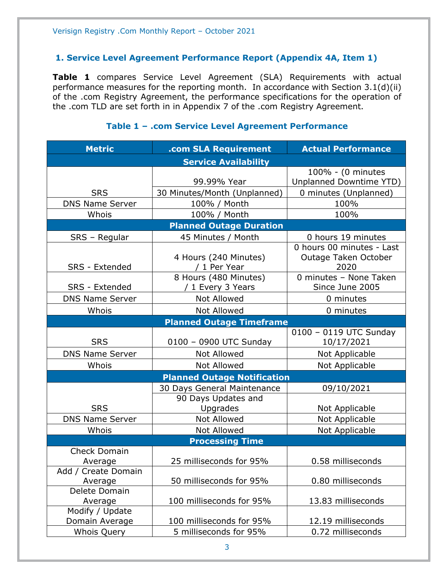#### <span id="page-2-0"></span>**1. Service Level Agreement Performance Report (Appendix 4A, Item 1)**

**Table 1** compares Service Level Agreement (SLA) Requirements with actual performance measures for the reporting month. In accordance with Section 3.1(d)(ii) of the .com Registry Agreement, the performance specifications for the operation of the .com TLD are set forth in in Appendix 7 of the .com Registry Agreement.

#### **Metric .com SLA Requirement Actual Performance Service Availability** SRS 99.99% Year 100% - (0 minutes Unplanned Downtime YTD) 30 Minutes/Month (Unplanned) | 0 minutes (Unplanned) DNS Name Server | 100% / Month | 100% Whois 100% / Month 100% 100% **Planned Outage Duration** SRS – Regular | 45 Minutes / Month | 0 hours 19 minutes SRS - Extended 4 Hours (240 Minutes) / 1 Per Year 0 hours 00 minutes - Last Outage Taken October 2020 SRS - Extended 8 Hours (480 Minutes) / 1 Every 3 Years 0 minutes – None Taken Since June 2005 DNS Name Server  $\begin{array}{ccc} \hline \text{Not} & \text{Allowed} & \text{O} & \text{O} \\ \hline \end{array}$ Whois  $\vert$  Not Allowed  $\vert$  0 minutes **Planned Outage Timeframe** SRS | 0100 – 0900 UTC Sunday 0100 – 0119 UTC Sunday 10/17/2021 DNS Name Server Not Allowed Not Applicable Whois | Not Allowed | Not Applicable **Planned Outage Notification SRS** 30 Days General Maintenance | 09/10/2021 90 Days Updates and Upgrades | Not Applicable DNS Name Server | Not Allowed | Not Applicable Whois | Not Allowed | Not Applicable **Processing Time** Check Domain Average 25 milliseconds for 95% 0.58 milliseconds Add / Create Domain Average 1.1 50 milliseconds for 95% 1.500 milliseconds Delete Domain Average 100 milliseconds for 95% 13.83 milliseconds Modify / Update Domain Average 100 milliseconds for 95% 12.19 milliseconds Whois Query 5 milliseconds for 95% 0.72 milliseconds

#### **Table 1 – .com Service Level Agreement Performance**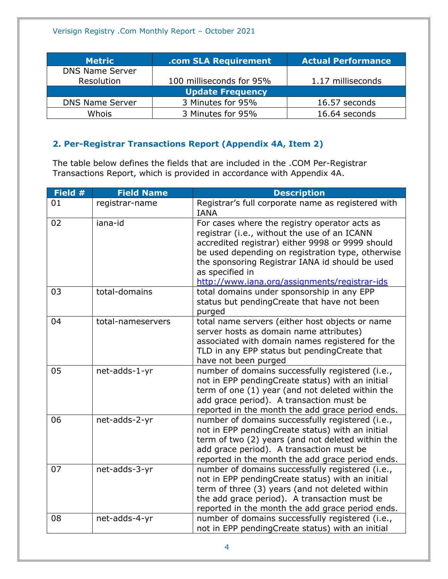| <b>Metric</b>           | .com SLA Requirement     | <b>Actual Performance</b> |
|-------------------------|--------------------------|---------------------------|
| <b>DNS Name Server</b>  |                          |                           |
| Resolution              | 100 milliseconds for 95% | 1.17 milliseconds         |
| <b>Update Frequency</b> |                          |                           |
| <b>DNS Name Server</b>  | 3 Minutes for 95%        | 16.57 seconds             |
| Whois                   | 3 Minutes for 95%        | 16.64 seconds             |

### <span id="page-3-0"></span>**2. Per-Registrar Transactions Report (Appendix 4A, Item 2)**

The table below defines the fields that are included in the .COM Per-Registrar Transactions Report, which is provided in accordance with Appendix 4A.

| Field # | <b>Field Name</b> | <b>Description</b>                                                                                                                                                                                                                                                                                                            |
|---------|-------------------|-------------------------------------------------------------------------------------------------------------------------------------------------------------------------------------------------------------------------------------------------------------------------------------------------------------------------------|
| 01      | registrar-name    | Registrar's full corporate name as registered with<br><b>IANA</b>                                                                                                                                                                                                                                                             |
| 02      | iana-id           | For cases where the registry operator acts as<br>registrar (i.e., without the use of an ICANN<br>accredited registrar) either 9998 or 9999 should<br>be used depending on registration type, otherwise<br>the sponsoring Registrar IANA id should be used<br>as specified in<br>http://www.iana.org/assignments/registrar-ids |
| 03      | total-domains     | total domains under sponsorship in any EPP<br>status but pendingCreate that have not been<br>purged                                                                                                                                                                                                                           |
| 04      | total-nameservers | total name servers (either host objects or name<br>server hosts as domain name attributes)<br>associated with domain names registered for the<br>TLD in any EPP status but pendingCreate that<br>have not been purged                                                                                                         |
| 05      | net-adds-1-yr     | number of domains successfully registered (i.e.,<br>not in EPP pendingCreate status) with an initial<br>term of one (1) year (and not deleted within the<br>add grace period). A transaction must be<br>reported in the month the add grace period ends.                                                                      |
| 06      | net-adds-2-yr     | number of domains successfully registered (i.e.,<br>not in EPP pendingCreate status) with an initial<br>term of two (2) years (and not deleted within the<br>add grace period). A transaction must be<br>reported in the month the add grace period ends.                                                                     |
| 07      | net-adds-3-yr     | number of domains successfully registered (i.e.,<br>not in EPP pendingCreate status) with an initial<br>term of three (3) years (and not deleted within<br>the add grace period). A transaction must be<br>reported in the month the add grace period ends.                                                                   |
| 08      | net-adds-4-yr     | number of domains successfully registered (i.e.,<br>not in EPP pendingCreate status) with an initial                                                                                                                                                                                                                          |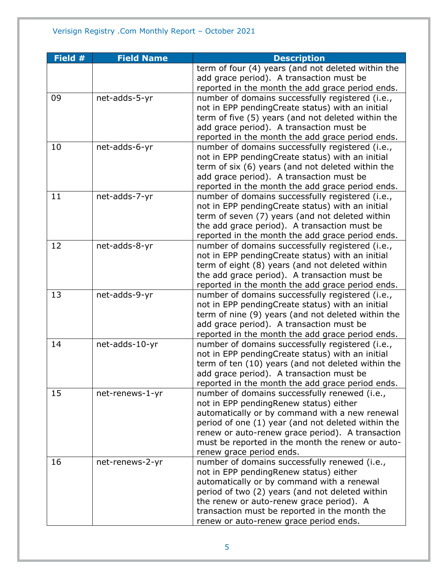| Field # | <b>Field Name</b> | <b>Description</b>                                                                          |
|---------|-------------------|---------------------------------------------------------------------------------------------|
|         |                   | term of four (4) years (and not deleted within the                                          |
|         |                   | add grace period). A transaction must be                                                    |
|         |                   | reported in the month the add grace period ends.                                            |
| 09      | net-adds-5-yr     | number of domains successfully registered (i.e.,                                            |
|         |                   | not in EPP pendingCreate status) with an initial                                            |
|         |                   | term of five (5) years (and not deleted within the                                          |
|         |                   | add grace period). A transaction must be                                                    |
|         |                   | reported in the month the add grace period ends.                                            |
| 10      | net-adds-6-yr     | number of domains successfully registered (i.e.,                                            |
|         |                   | not in EPP pendingCreate status) with an initial                                            |
|         |                   | term of six (6) years (and not deleted within the                                           |
|         |                   | add grace period). A transaction must be                                                    |
|         |                   | reported in the month the add grace period ends.                                            |
| 11      | net-adds-7-yr     | number of domains successfully registered (i.e.,                                            |
|         |                   | not in EPP pendingCreate status) with an initial                                            |
|         |                   | term of seven (7) years (and not deleted within                                             |
|         |                   | the add grace period). A transaction must be                                                |
|         |                   | reported in the month the add grace period ends.                                            |
| 12      | net-adds-8-yr     | number of domains successfully registered (i.e.,                                            |
|         |                   | not in EPP pendingCreate status) with an initial                                            |
|         |                   | term of eight (8) years (and not deleted within                                             |
|         |                   | the add grace period). A transaction must be                                                |
|         |                   | reported in the month the add grace period ends.                                            |
| 13      | net-adds-9-yr     | number of domains successfully registered (i.e.,                                            |
|         |                   | not in EPP pendingCreate status) with an initial                                            |
|         |                   | term of nine (9) years (and not deleted within the                                          |
|         |                   | add grace period). A transaction must be                                                    |
|         |                   | reported in the month the add grace period ends.                                            |
| 14      | net-adds-10-yr    | number of domains successfully registered (i.e.,                                            |
|         |                   | not in EPP pendingCreate status) with an initial                                            |
|         |                   | term of ten (10) years (and not deleted within the                                          |
|         |                   | add grace period). A transaction must be                                                    |
|         |                   | reported in the month the add grace period ends.                                            |
| 15      | net-renews-1-yr   | number of domains successfully renewed (i.e.,                                               |
|         |                   | not in EPP pendingRenew status) either                                                      |
|         |                   | automatically or by command with a new renewal                                              |
|         |                   | period of one (1) year (and not deleted within the                                          |
|         |                   | renew or auto-renew grace period). A transaction                                            |
|         |                   | must be reported in the month the renew or auto-                                            |
|         |                   | renew grace period ends.                                                                    |
| 16      | net-renews-2-yr   | number of domains successfully renewed (i.e.,                                               |
|         |                   | not in EPP pendingRenew status) either                                                      |
|         |                   | automatically or by command with a renewal                                                  |
|         |                   | period of two (2) years (and not deleted within<br>the renew or auto-renew grace period). A |
|         |                   | transaction must be reported in the month the                                               |
|         |                   |                                                                                             |
|         |                   | renew or auto-renew grace period ends.                                                      |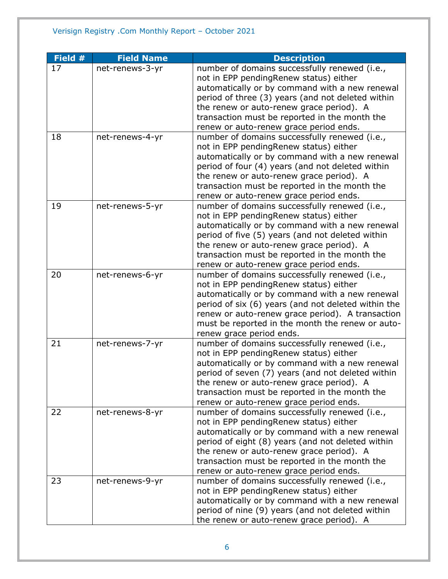| Field # | <b>Field Name</b> | <b>Description</b>                                                                                                                                                                                                                                                                                                                    |
|---------|-------------------|---------------------------------------------------------------------------------------------------------------------------------------------------------------------------------------------------------------------------------------------------------------------------------------------------------------------------------------|
| 17      | net-renews-3-yr   | number of domains successfully renewed (i.e.,<br>not in EPP pendingRenew status) either<br>automatically or by command with a new renewal<br>period of three (3) years (and not deleted within                                                                                                                                        |
|         |                   | the renew or auto-renew grace period). A<br>transaction must be reported in the month the<br>renew or auto-renew grace period ends.                                                                                                                                                                                                   |
| 18      | net-renews-4-yr   | number of domains successfully renewed (i.e.,<br>not in EPP pendingRenew status) either<br>automatically or by command with a new renewal<br>period of four (4) years (and not deleted within<br>the renew or auto-renew grace period). A<br>transaction must be reported in the month the<br>renew or auto-renew grace period ends.  |
| 19      | net-renews-5-yr   | number of domains successfully renewed (i.e.,<br>not in EPP pendingRenew status) either<br>automatically or by command with a new renewal<br>period of five (5) years (and not deleted within<br>the renew or auto-renew grace period). A<br>transaction must be reported in the month the<br>renew or auto-renew grace period ends.  |
| 20      | net-renews-6-yr   | number of domains successfully renewed (i.e.,<br>not in EPP pendingRenew status) either<br>automatically or by command with a new renewal<br>period of six (6) years (and not deleted within the<br>renew or auto-renew grace period). A transaction<br>must be reported in the month the renew or auto-<br>renew grace period ends.  |
| 21      | net-renews-7-yr   | number of domains successfully renewed (i.e.,<br>not in EPP pendingRenew status) either<br>automatically or by command with a new renewal<br>period of seven (7) years (and not deleted within<br>the renew or auto-renew grace period). A<br>transaction must be reported in the month the<br>renew or auto-renew grace period ends. |
| 22      | net-renews-8-yr   | number of domains successfully renewed (i.e.,<br>not in EPP pendingRenew status) either<br>automatically or by command with a new renewal<br>period of eight (8) years (and not deleted within<br>the renew or auto-renew grace period). A<br>transaction must be reported in the month the<br>renew or auto-renew grace period ends. |
| 23      | net-renews-9-yr   | number of domains successfully renewed (i.e.,<br>not in EPP pendingRenew status) either<br>automatically or by command with a new renewal<br>period of nine (9) years (and not deleted within<br>the renew or auto-renew grace period). A                                                                                             |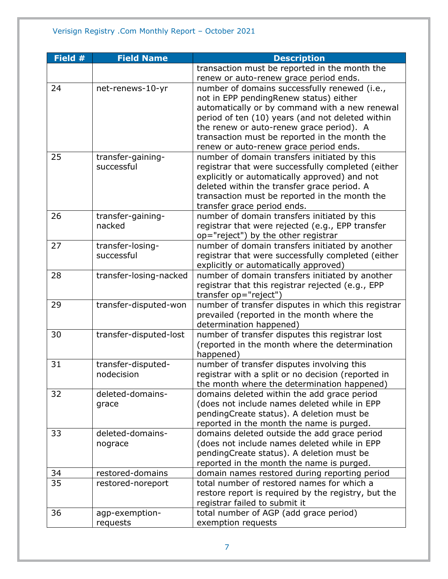| Field # | <b>Field Name</b>      | <b>Description</b>                                  |
|---------|------------------------|-----------------------------------------------------|
|         |                        | transaction must be reported in the month the       |
|         |                        | renew or auto-renew grace period ends.              |
| 24      | net-renews-10-yr       | number of domains successfully renewed (i.e.,       |
|         |                        | not in EPP pendingRenew status) either              |
|         |                        | automatically or by command with a new renewal      |
|         |                        | period of ten (10) years (and not deleted within    |
|         |                        | the renew or auto-renew grace period). A            |
|         |                        | transaction must be reported in the month the       |
|         |                        | renew or auto-renew grace period ends.              |
| 25      | transfer-gaining-      | number of domain transfers initiated by this        |
|         | successful             | registrar that were successfully completed (either  |
|         |                        | explicitly or automatically approved) and not       |
|         |                        | deleted within the transfer grace period. A         |
|         |                        | transaction must be reported in the month the       |
|         |                        | transfer grace period ends.                         |
| 26      | transfer-gaining-      | number of domain transfers initiated by this        |
|         | nacked                 | registrar that were rejected (e.g., EPP transfer    |
|         |                        | op="reject") by the other registrar                 |
| 27      | transfer-losing-       | number of domain transfers initiated by another     |
|         | successful             | registrar that were successfully completed (either  |
|         |                        | explicitly or automatically approved)               |
| 28      | transfer-losing-nacked | number of domain transfers initiated by another     |
|         |                        | registrar that this registrar rejected (e.g., EPP   |
|         |                        | transfer op="reject")                               |
| 29      | transfer-disputed-won  | number of transfer disputes in which this registrar |
|         |                        | prevailed (reported in the month where the          |
|         |                        | determination happened)                             |
| 30      | transfer-disputed-lost | number of transfer disputes this registrar lost     |
|         |                        | (reported in the month where the determination      |
|         |                        | happened)                                           |
| 31      | transfer-disputed-     | number of transfer disputes involving this          |
|         | nodecision             | registrar with a split or no decision (reported in  |
|         |                        | the month where the determination happened)         |
| 32      | deleted-domains-       | domains deleted within the add grace period         |
|         | grace                  | (does not include names deleted while in EPP        |
|         |                        | pendingCreate status). A deletion must be           |
|         |                        | reported in the month the name is purged.           |
| 33      | deleted-domains-       | domains deleted outside the add grace period        |
|         | nograce                | (does not include names deleted while in EPP        |
|         |                        | pendingCreate status). A deletion must be           |
|         |                        | reported in the month the name is purged.           |
| 34      | restored-domains       | domain names restored during reporting period       |
| 35      | restored-noreport      | total number of restored names for which a          |
|         |                        | restore report is required by the registry, but the |
|         |                        | registrar failed to submit it                       |
| 36      | agp-exemption-         | total number of AGP (add grace period)              |
|         | requests               | exemption requests                                  |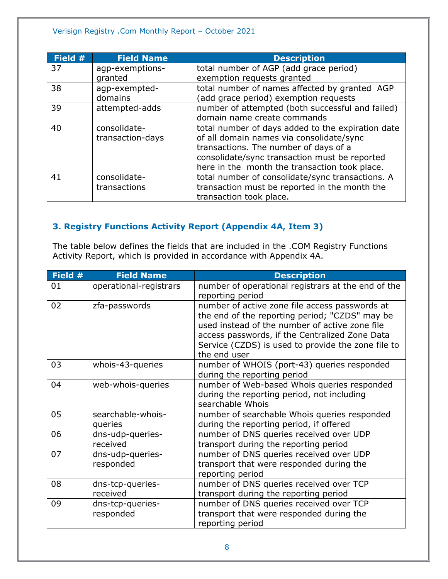#### Verisign Registry .Com Monthly Report – October 2021

| Field # | <b>Field Name</b> | <b>Description</b>                                |
|---------|-------------------|---------------------------------------------------|
| 37      | agp-exemptions-   | total number of AGP (add grace period)            |
|         | granted           | exemption requests granted                        |
| 38      | agp-exempted-     | total number of names affected by granted AGP     |
|         | domains           | (add grace period) exemption requests             |
| 39      | attempted-adds    | number of attempted (both successful and failed)  |
|         |                   | domain name create commands                       |
| 40      | consolidate-      | total number of days added to the expiration date |
|         | transaction-days  | of all domain names via consolidate/sync          |
|         |                   | transactions. The number of days of a             |
|         |                   | consolidate/sync transaction must be reported     |
|         |                   | here in the month the transaction took place.     |
| 41      | consolidate-      | total number of consolidate/sync transactions. A  |
|         | transactions      | transaction must be reported in the month the     |
|         |                   | transaction took place.                           |

### <span id="page-7-0"></span>**3. Registry Functions Activity Report (Appendix 4A, Item 3)**

The table below defines the fields that are included in the .COM Registry Functions Activity Report, which is provided in accordance with Appendix 4A.

| Field # | <b>Field Name</b>             | <b>Description</b>                                                                                                                                                                                                                                                         |
|---------|-------------------------------|----------------------------------------------------------------------------------------------------------------------------------------------------------------------------------------------------------------------------------------------------------------------------|
| 01      | operational-registrars        | number of operational registrars at the end of the<br>reporting period                                                                                                                                                                                                     |
| 02      | zfa-passwords                 | number of active zone file access passwords at<br>the end of the reporting period; "CZDS" may be<br>used instead of the number of active zone file<br>access passwords, if the Centralized Zone Data<br>Service (CZDS) is used to provide the zone file to<br>the end user |
| 03      | whois-43-queries              | number of WHOIS (port-43) queries responded<br>during the reporting period                                                                                                                                                                                                 |
| 04      | web-whois-queries             | number of Web-based Whois queries responded<br>during the reporting period, not including<br>searchable Whois                                                                                                                                                              |
| 05      | searchable-whois-<br>queries  | number of searchable Whois queries responded<br>during the reporting period, if offered                                                                                                                                                                                    |
| 06      | dns-udp-queries-<br>received  | number of DNS queries received over UDP<br>transport during the reporting period                                                                                                                                                                                           |
| 07      | dns-udp-queries-<br>responded | number of DNS queries received over UDP<br>transport that were responded during the<br>reporting period                                                                                                                                                                    |
| 08      | dns-tcp-queries-<br>received  | number of DNS queries received over TCP<br>transport during the reporting period                                                                                                                                                                                           |
| 09      | dns-tcp-queries-<br>responded | number of DNS queries received over TCP<br>transport that were responded during the<br>reporting period                                                                                                                                                                    |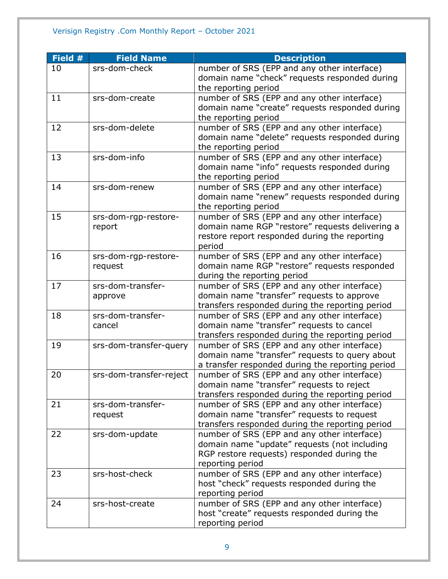### Verisign Registry .Com Monthly Report – October 2021

| Field # | <b>Field Name</b>       | <b>Description</b>                               |
|---------|-------------------------|--------------------------------------------------|
| 10      | srs-dom-check           | number of SRS (EPP and any other interface)      |
|         |                         | domain name "check" requests responded during    |
|         |                         | the reporting period                             |
| 11      | srs-dom-create          | number of SRS (EPP and any other interface)      |
|         |                         | domain name "create" requests responded during   |
|         |                         | the reporting period                             |
| 12      | srs-dom-delete          | number of SRS (EPP and any other interface)      |
|         |                         | domain name "delete" requests responded during   |
|         |                         | the reporting period                             |
| 13      | srs-dom-info            | number of SRS (EPP and any other interface)      |
|         |                         | domain name "info" requests responded during     |
|         |                         | the reporting period                             |
| 14      | srs-dom-renew           | number of SRS (EPP and any other interface)      |
|         |                         | domain name "renew" requests responded during    |
|         |                         | the reporting period                             |
| 15      | srs-dom-rgp-restore-    | number of SRS (EPP and any other interface)      |
|         | report                  | domain name RGP "restore" requests delivering a  |
|         |                         | restore report responded during the reporting    |
|         |                         | period                                           |
| 16      | srs-dom-rgp-restore-    | number of SRS (EPP and any other interface)      |
|         | request                 | domain name RGP "restore" requests responded     |
|         |                         | during the reporting period                      |
| 17      | srs-dom-transfer-       | number of SRS (EPP and any other interface)      |
|         | approve                 | domain name "transfer" requests to approve       |
|         |                         | transfers responded during the reporting period  |
| 18      | srs-dom-transfer-       | number of SRS (EPP and any other interface)      |
|         | cancel                  | domain name "transfer" requests to cancel        |
|         |                         | transfers responded during the reporting period  |
| 19      | srs-dom-transfer-query  | number of SRS (EPP and any other interface)      |
|         |                         | domain name "transfer" requests to query about   |
|         |                         | a transfer responded during the reporting period |
| 20      | srs-dom-transfer-reject | number of SRS (EPP and any other interface)      |
|         |                         | domain name "transfer" requests to reject        |
|         |                         | transfers responded during the reporting period  |
| 21      | srs-dom-transfer-       | number of SRS (EPP and any other interface)      |
|         | request                 | domain name "transfer" requests to request       |
|         |                         | transfers responded during the reporting period  |
| 22      | srs-dom-update          | number of SRS (EPP and any other interface)      |
|         |                         | domain name "update" requests (not including     |
|         |                         | RGP restore requests) responded during the       |
|         |                         | reporting period                                 |
| 23      | srs-host-check          | number of SRS (EPP and any other interface)      |
|         |                         | host "check" requests responded during the       |
|         |                         | reporting period                                 |
| 24      | srs-host-create         | number of SRS (EPP and any other interface)      |
|         |                         | host "create" requests responded during the      |
|         |                         | reporting period                                 |